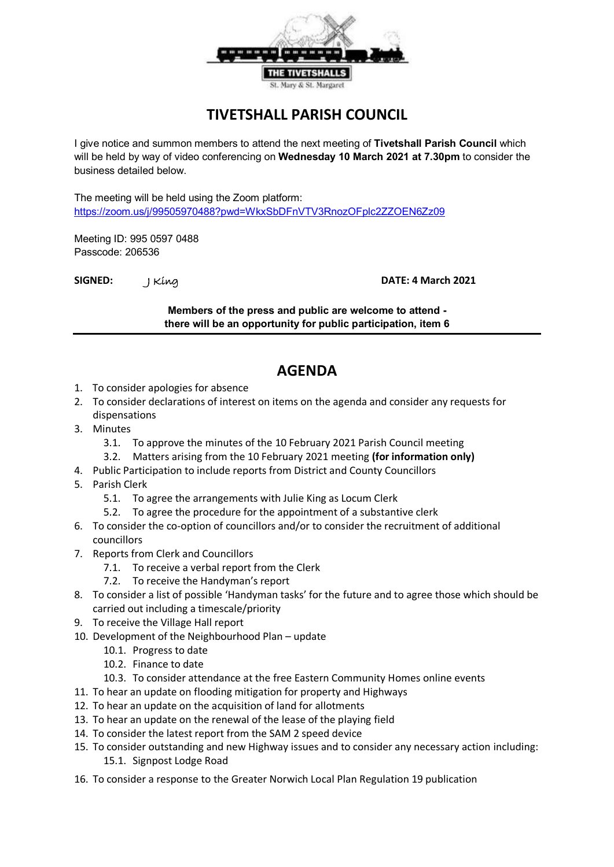

## **TIVETSHALL PARISH COUNCIL**

I give notice and summon members to attend the next meeting of **Tivetshall Parish Council** which will be held by way of video conferencing on **Wednesday 10 March 2021 at 7.30pm** to consider the business detailed below.

The meeting will be held using the Zoom platform: <https://zoom.us/j/99505970488?pwd=WkxSbDFnVTV3RnozOFplc2ZZOEN6Zz09>

Meeting ID: 995 0597 0488 Passcode: 206536

**SIGNED:** J King **DATE: 4 March 2021**

**Members of the press and public are welcome to attend there will be an opportunity for public participation, item 6**

## **AGENDA**

- 1. To consider apologies for absence
- 2. To consider declarations of interest on items on the agenda and consider any requests for dispensations
- 3. Minutes
	- 3.1. To approve the minutes of the 10 February 2021 Parish Council meeting
	- 3.2. Matters arising from the 10 February 2021 meeting **(for information only)**
- 4. Public Participation to include reports from District and County Councillors
- 5. Parish Clerk
	- 5.1. To agree the arrangements with Julie King as Locum Clerk
	- 5.2. To agree the procedure for the appointment of a substantive clerk
- 6. To consider the co-option of councillors and/or to consider the recruitment of additional councillors
- 7. Reports from Clerk and Councillors
	- 7.1. To receive a verbal report from the Clerk
	- 7.2. To receive the Handyman's report
- 8. To consider a list of possible 'Handyman tasks' for the future and to agree those which should be carried out including a timescale/priority
- 9. To receive the Village Hall report
- 10. Development of the Neighbourhood Plan update
	- 10.1. Progress to date
	- 10.2. Finance to date
	- 10.3. To consider attendance at the free Eastern Community Homes online events
- 11. To hear an update on flooding mitigation for property and Highways
- 12. To hear an update on the acquisition of land for allotments
- 13. To hear an update on the renewal of the lease of the playing field
- 14. To consider the latest report from the SAM 2 speed device
- 15. To consider outstanding and new Highway issues and to consider any necessary action including: 15.1. Signpost Lodge Road
- 16. To consider a response to the Greater Norwich Local Plan Regulation 19 publication